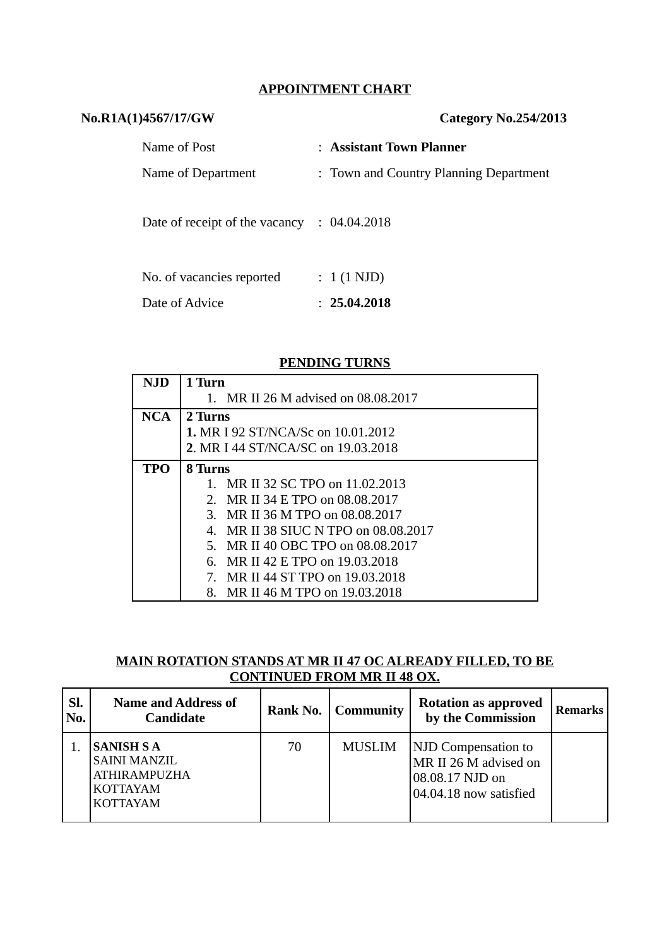#### **APPOINTMENT CHART**

| No.R1A(1)4567/17/GW                                    | Category No.254/2013                   |  |  |
|--------------------------------------------------------|----------------------------------------|--|--|
| Name of Post                                           | : Assistant Town Planner               |  |  |
| Name of Department                                     | : Town and Country Planning Department |  |  |
| Date of receipt of the vacancy $\therefore$ 04.04.2018 |                                        |  |  |
| No. of vacancies reported                              | $: 1(1 \text{ NJD})$                   |  |  |
| Date of Advice                                         | : 25.04.2018                           |  |  |

#### **PENDING TURNS**

| NJD        | 1 Turn                                    |  |  |  |  |
|------------|-------------------------------------------|--|--|--|--|
|            | 1. MR II 26 M advised on 08.08.2017       |  |  |  |  |
| <b>NCA</b> | 2 Turns                                   |  |  |  |  |
|            | <b>1. MR I 92 ST/NCA/Sc on 10.01.2012</b> |  |  |  |  |
|            | 2. MR I 44 ST/NCA/SC on 19.03.2018        |  |  |  |  |
| <b>TPO</b> | <b>8 Turns</b>                            |  |  |  |  |
|            | 1. MR II 32 SC TPO on 11.02.2013          |  |  |  |  |
|            | 2. MR II 34 E TPO on 08.08.2017           |  |  |  |  |
|            | 3. MR II 36 M TPO on 08.08.2017           |  |  |  |  |
|            | 4. MR II 38 SIUC N TPO on 08.08.2017      |  |  |  |  |
|            | 5. MR II 40 OBC TPO on 08.08.2017         |  |  |  |  |
|            | 6. MR II 42 E TPO on 19.03.2018           |  |  |  |  |
|            | MR II 44 ST TPO on 19.03.2018             |  |  |  |  |
|            | MR II 46 M TPO on 19.03.2018<br>8.        |  |  |  |  |

### **MAIN ROTATION STANDS AT MR II 47 OC ALREADY FILLED, TO BE CONTINUED FROM MR II 48 OX.**

| SI.<br>No. | <b>Name and Address of</b><br><b>Candidate</b>                                                        |    | <b>Rank No.   Community</b> | <b>Rotation as approved</b><br>by the Commission                                                 | <b>Remarks</b> |
|------------|-------------------------------------------------------------------------------------------------------|----|-----------------------------|--------------------------------------------------------------------------------------------------|----------------|
|            | <b>SANISH S A</b><br><b>SAINI MANZIL</b><br><b>ATHIRAMPUZHA</b><br><b>KOTTAYAM</b><br><b>KOTTAYAM</b> | 70 | <b>MUSLIM</b>               | <b>NJD</b> Compensation to<br>MR II 26 M advised on<br>08.08.17 NJD on<br>04.04.18 now satisfied |                |